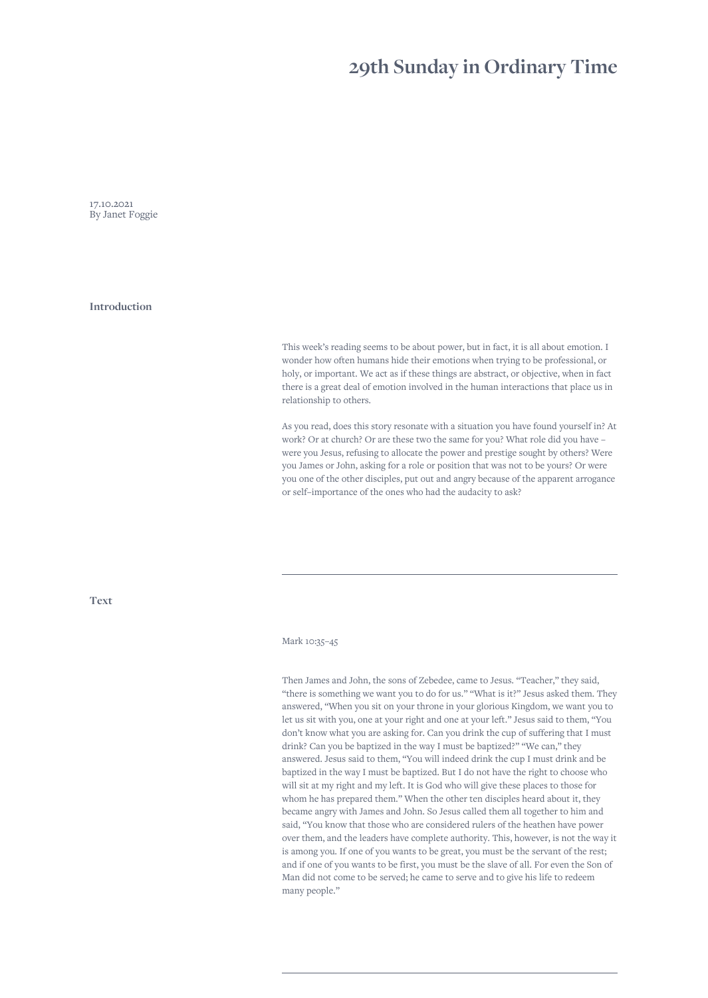## **29th Sunday in Ordinary Time**

17.10.2021 By Janet Foggie

**Introduction**

This week's reading seems to be about power, but in fact, it is all about emotion. I wonder how often humans hide their emotions when trying to be professional, or holy, or important. We act as if these things are abstract, or objective, when in fact there is a great deal of emotion involved in the human interactions that place us in relationship to others.

As you read, does this story resonate with a situation you have found yourself in? At work? Or at church? Or are these two the same for you? What role did you have – were you Jesus, refusing to allocate the power and prestige sought by others? Were you James or John, asking for a role or position that was not to be yours? Or were you one of the other disciples, put out and angry because of the apparent arrogance or self–importance of the ones who had the audacity to ask?

**Text**

## Mark 10:35–45

Then James and John, the sons of Zebedee, came to Jesus. "Teacher," they said, "there is something we want you to do for us." "What is it?" Jesus asked them. They answered, "When you sit on your throne in your glorious Kingdom, we want you to let us sit with you, one at your right and one at your left." Jesus said to them, "You don't know what you are asking for. Can you drink the cup of suffering that I must drink? Can you be baptized in the way I must be baptized?" "We can," they answered. Jesus said to them, "You will indeed drink the cup I must drink and be baptized in the way I must be baptized. But I do not have the right to choose who will sit at my right and my left. It is God who will give these places to those for whom he has prepared them." When the other ten disciples heard about it, they became angry with James and John. So Jesus called them all together to him and said, "You know that those who are considered rulers of the heathen have power over them, and the leaders have complete authority. This, however, is not the way it is among you. If one of you wants to be great, you must be the servant of the rest; and if one of you wants to be first, you must be the slave of all. For even the Son of Man did not come to be served; he came to serve and to give his life to redeem many people."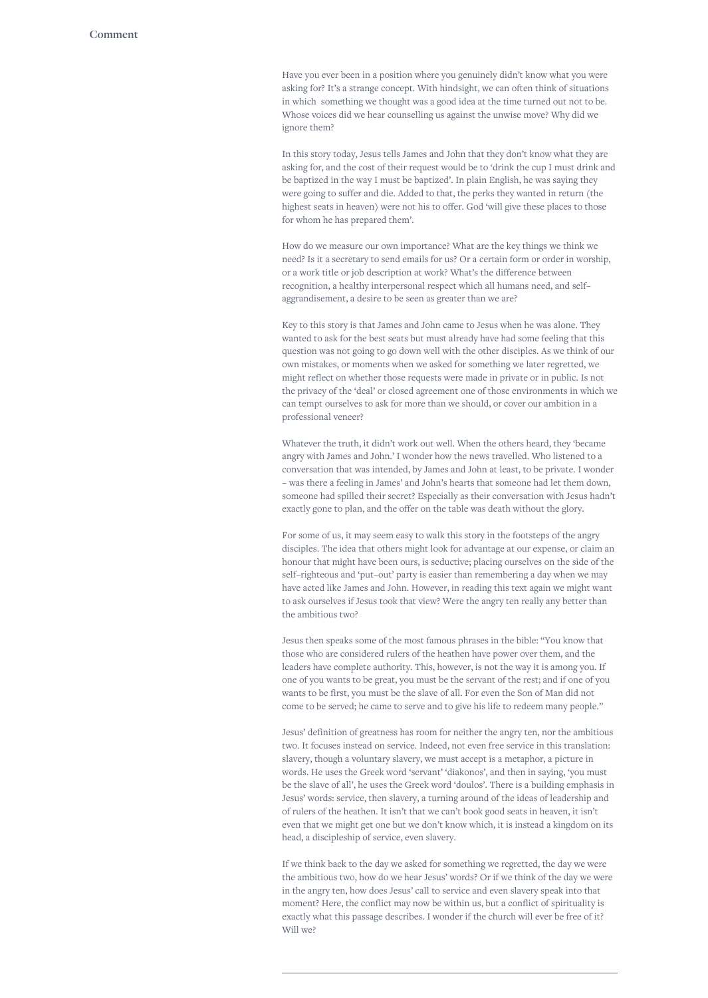Have you ever been in a position where you genuinely didn't know what you were asking for? It's a strange concept. With hindsight, we can often think of situations in which something we thought was a good idea at the time turned out not to be. Whose voices did we hear counselling us against the unwise move? Why did we ignore them?

In this story today, Jesus tells James and John that they don't know what they are asking for, and the cost of their request would be to 'drink the cup I must drink and be baptized in the way I must be baptized'. In plain English, he was saying they were going to suffer and die. Added to that, the perks they wanted in return (the highest seats in heaven) were not his to offer. God 'will give these places to those for whom he has prepared them'.

How do we measure our own importance? What are the key things we think we need? Is it a secretary to send emails for us? Or a certain form or order in worship, or a work title or job description at work? What's the difference between recognition, a healthy interpersonal respect which all humans need, and self– aggrandisement, a desire to be seen as greater than we are?

Key to this story is that James and John came to Jesus when he was alone. They wanted to ask for the best seats but must already have had some feeling that this question was not going to go down well with the other disciples. As we think of our own mistakes, or moments when we asked for something we later regretted, we might reflect on whether those requests were made in private or in public. Is not the privacy of the 'deal' or closed agreement one of those environments in which we can tempt ourselves to ask for more than we should, or cover our ambition in a professional veneer?

Whatever the truth, it didn't work out well. When the others heard, they 'became angry with James and John.' I wonder how the news travelled. Who listened to a conversation that was intended, by James and John at least, to be private. I wonder – was there a feeling in James' and John's hearts that someone had let them down, someone had spilled their secret? Especially as their conversation with Jesus hadn't exactly gone to plan, and the offer on the table was death without the glory.

For some of us, it may seem easy to walk this story in the footsteps of the angry disciples. The idea that others might look for advantage at our expense, or claim an honour that might have been ours, is seductive; placing ourselves on the side of the self–righteous and 'put–out' party is easier than remembering a day when we may have acted like James and John. However, in reading this text again we might want to ask ourselves if Jesus took that view? Were the angry ten really any better than the ambitious two?

Jesus then speaks some of the most famous phrases in the bible: "You know that those who are considered rulers of the heathen have power over them, and the leaders have complete authority. This, however, is not the way it is among you. If one of you wants to be great, you must be the servant of the rest; and if one of you wants to be first, you must be the slave of all. For even the Son of Man did not come to be served; he came to serve and to give his life to redeem many people."

Jesus' definition of greatness has room for neither the angry ten, nor the ambitious two. It focuses instead on service. Indeed, not even free service in this translation: slavery, though a voluntary slavery, we must accept is a metaphor, a picture in words. He uses the Greek word 'servant' 'diakonos', and then in saying, 'you must be the slave of all', he uses the Greek word 'doulos'. There is a building emphasis in Jesus' words: service, then slavery, a turning around of the ideas of leadership and of rulers of the heathen. It isn't that we can't book good seats in heaven, it isn't even that we might get one but we don't know which, it is instead a kingdom on its head, a discipleship of service, even slavery.

If we think back to the day we asked for something we regretted, the day we were the ambitious two, how do we hear Jesus' words? Or if we think of the day we were in the angry ten, how does Jesus' call to service and even slavery speak into that moment? Here, the conflict may now be within us, but a conflict of spirituality is exactly what this passage describes. I wonder if the church will ever be free of it? Will we?